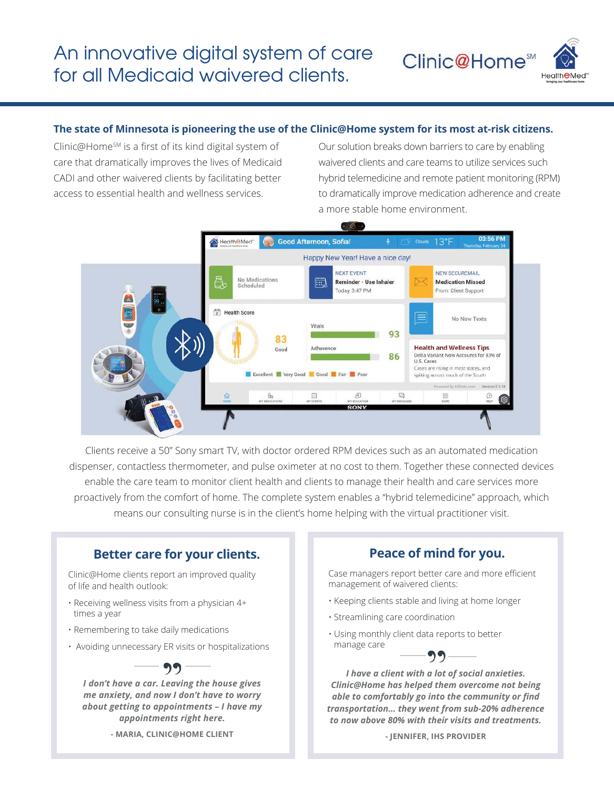

## **The state of Minnesota is pioneering the use of the Clinic@Home system for its most at-risk citizens.**

Clinic@HomeSM is a first of its kind digital system of care that dramatically improves the lives of Medicaid CADI and other waivered clients by facilitating better access to essential health and wellness services.

Our solution breaks down barriers to care by enabling waivered clients and care teams to utilize services such hybrid telemedicine and remote patient monitoring (RPM) to dramatically improve medication adherence and create a more stable home environment.



Clients receive a 50" Sony smart TV, with doctor ordered RPM devices such as an automated medication dispenser, contactless thermometer, and pulse oximeter at no cost to them. Together these connected devices enable the care team to monitor client health and clients to manage their health and care services more proactively from the comfort of home. The complete system enables a "hybrid telemedicine" approach, which means our consulting nurse is in the client's home helping with the virtual practitioner visit.

## **Better care for your clients. Peace of mind for you.**

Clinic@Home clients report an improved quality of life and health outlook:

- Receiving wellness visits from a physician 4+ times a year
- Remembering to take daily medications
- Avoiding unnecessary ER visits or hospitalizations



*I don't have a car. Leaving the house gives me anxiety, and now I don't have to worry about getting to appointments – I have my appointments right here.*

**- MARIA, CLINIC@HOME CLIENT**

Case managers report better care and more efficient management of waivered clients:

- Keeping clients stable and living at home longer
- Streamlining care coordination
- Using monthly client data reports to better manage care



*I have a client with a lot of social anxieties. Clinic@Home has helped them overcome not being able to comfortably go into the community or find transportation… they went from sub-20% adherence to now above 80% with their visits and treatments.* 

**- JENNIFER, IHS PROVIDER**